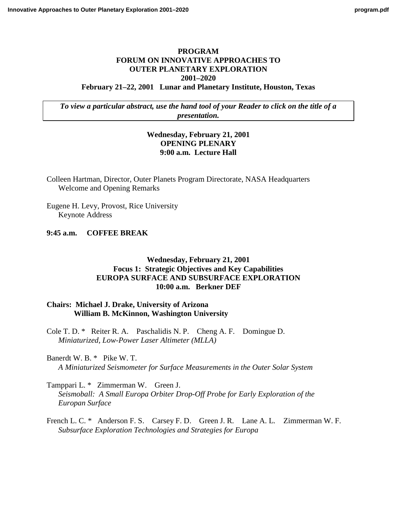## **PROGRAM FORUM ON INNOVATIVE APPROACHES TO OUTER PLANETARY EXPLORATION 2001–2020 February 21–22, 2001 Lunar and Planetary Institute, Houston, Texas**

*To view a particular abstract, use the hand tool of your Reader to click on the title of a presentation.*

## **Wednesday, February 21, 2001 OPENING PLENARY 9:00 a.m. Lecture Hall**

Colleen Hartman, Director, Outer Planets Program Directorate, NASA Headquarters Welcome and Opening Remarks

Eugene H. Levy, Provost, Rice University Keynote Address

**9:45 a.m. COFFEE BREAK**

## **Wednesday, February 21, 2001 Focus 1: Strategic Objectives and Key Capabilities EUROPA SURFACE AND SUBSURFACE EXPLORATION 10:00 a.m. Berkner DEF**

## **Chairs: Michael J. Drake, University of Arizona William B. McKinnon, Washington University**

[Cole T. D. \\* Reiter R. A. Paschalidis N. P. Cheng A. F. Domingue D.](http://www.lpi.usra.edu/meetings/outerplanets2001/pdf/4029.pdf)  *Miniaturized, Low-Power Laser Altimeter (MLLA)*

Banerdt W. B. \* Pike W. T. *[A Miniaturized Seismometer for Surface Measurements in the Outer Solar System](http://www.lpi.usra.edu/meetings/outerplanets2001/pdf/4063.pdf)*

Tamppari L. \* Zimmerman W. Green J. *[Seismoball: A Small Europa Orbiter Drop-Off Probe for Early Exploration of the](http://www.lpi.usra.edu/meetings/outerplanets2001/pdf/4005.pdf) Europan Surface*

French L. C. \* Anderson F. S. Carsey F. D. Green J. R. Lane A. L. Zimmerman W. F. *Subsurface Exploration Technologies and Strategies for Europa*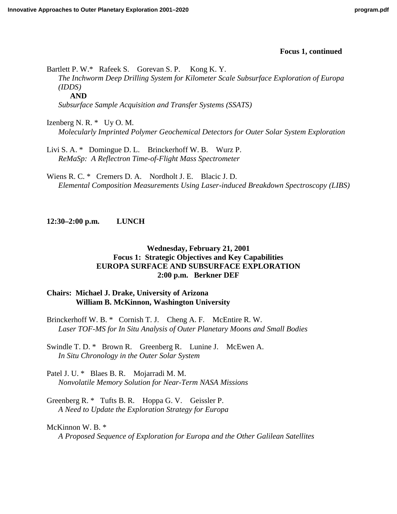Bartlett P. W.\* Rafeek S. Gorevan S. P. Kong K. Y. *[The Inchworm Deep Drilling System for Kilometer Scale Subsurface Exploration of Europa](http://www.lpi.usra.edu/meetings/outerplanets2001/pdf/4085.pdf) (IDDS)* **AND**

*[Subsurface Sample Acquisition and Transfer Systems \(SSATS\)](http://www.lpi.usra.edu/meetings/outerplanets2001/pdf/4089.pdf)*

Izenberg N. R. \* Uy O. M. *[Molecularly Imprinted Polymer Geochemical Detectors for Outer Solar System Exploration](http://www.lpi.usra.edu/meetings/outerplanets2001/pdf/4033.pdf)*

[Livi S. A. \\* Domingue D. L. Brinckerhoff W. B. Wurz P.](http://www.lpi.usra.edu/meetings/outerplanets2001/pdf/4028.pdf)  *ReMaSp: A Reflectron Time-of-Flight Mass Spectrometer*

Wiens R. C. \* Cremers D. A. Nordholt J. E. Blacic J. D. *[Elemental Composition Measurements Using Laser-induced Breakdown Spectroscopy \(LIBS\)](http://www.lpi.usra.edu/meetings/outerplanets2001/pdf/4016.pdf)*

**12:30–2:00 p.m. LUNCH**

# **Wednesday, February 21, 2001 Focus 1: Strategic Objectives and Key Capabilities EUROPA SURFACE AND SUBSURFACE EXPLORATION 2:00 p.m. Berkner DEF**

# **Chairs: Michael J. Drake, University of Arizona William B. McKinnon, Washington University**

Brinckerhoff W. B. \* Cornish T. J. Cheng A. F. McEntire R. W. *[Laser TOF-MS for In Situ Analysis of Outer Planetary Moons and Small Bodies](http://www.lpi.usra.edu/meetings/outerplanets2001/pdf/4072.pdf)*

Swindle T. D. \* Brown R. Greenberg R. Lunine J. McEwen A. *In Situ Chronology in the Outer Solar System*

Patel J. U. \* Blaes B. R. Mojarradi M. M. *[Nonvolatile Memory Solution for Near-Term NASA Missions](http://www.lpi.usra.edu/meetings/outerplanets2001/pdf/4048.pdf)*

[Greenberg R. \\* Tufts B. R. Hoppa G. V. Geissler P.](http://www.lpi.usra.edu/meetings/outerplanets2001/pdf/4081.pdf)  *A Need to Update the Exploration Strategy for Europa*

# McKinnon W. B. \*

*[A Proposed Sequence of Exploration for Europa and the Other Galilean Satellites](http://www.lpi.usra.edu/meetings/outerplanets2001/pdf/4117.pdf)*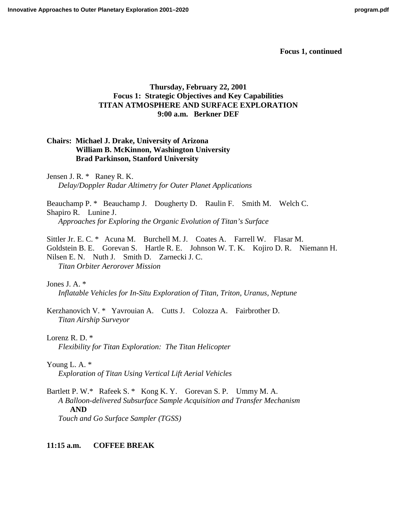# **Thursday, February 22, 2001 Focus 1: Strategic Objectives and Key Capabilities TITAN ATMOSPHERE AND SURFACE EXPLORATION 9:00 a.m. Berkner DEF**

# **Chairs: Michael J. Drake, University of Arizona William B. McKinnon, Washington University Brad Parkinson, Stanford University**

Jensen J. R. \* Raney R. K. *[Delay/Doppler Radar Altimetry for Outer Planet Applications](http://www.lpi.usra.edu/meetings/outerplanets2001/pdf/4045.pdf)*

Beauchamp P. \* Beauchamp J. Dougherty D. Raulin F. Smith M. Welch C. Shapiro R. Lunine J. *Approaches for Exploring the Organic Evolution of Titan's Surface*

Sittler Jr. E. C. \* Acuna M. Burchell M. J. Coates A. Farrell W. Flasar M. [Goldstein B. E. Gorevan S. Hartle R. E. Johnson W. T. K. Kojiro D. R. Niemann H.](http://www.lpi.usra.edu/meetings/outerplanets2001/pdf/4096.pdf)  Nilsen E. N. Nuth J. Smith D. Zarnecki J. C. *Titan Orbiter Aerorover Mission*

Jones J. A. \* *[Inflatable Vehicles for In-Situ Exploration of Titan, Triton, Uranus, Neptune](http://www.lpi.usra.edu/meetings/outerplanets2001/pdf/4023.pdf)*

[Kerzhanovich V. \\* Yavrouian A. Cutts J. Colozza A. Fairbrother D.](http://www.lpi.usra.edu/meetings/outerplanets2001/pdf/4009.pdf)  *Titan Airship Surveyor*

Lorenz R. D. \* *[Flexibility for Titan Exploration: The Titan Helicopter](http://www.lpi.usra.edu/meetings/outerplanets2001/pdf/4003.pdf)*

Young L. A. \* *[Exploration of Titan Using Vertical Lift Aerial Vehicles](http://www.lpi.usra.edu/meetings/outerplanets2001/pdf/4022.pdf)*

Bartlett P. W.\* Rafeek S. \* Kong K. Y. Gorevan S. P. Ummy M. A. *[A Balloon-delivered Subsurface Sample Acquisition and Transfer Mechanism](http://www.lpi.usra.edu/meetings/outerplanets2001/pdf/4119.pdf)* **AND** *[Touch and Go Surface Sampler \(TGSS\)](http://www.lpi.usra.edu/meetings/outerplanets2001/pdf/4088.pdf)*

# **11:15 a.m. COFFEE BREAK**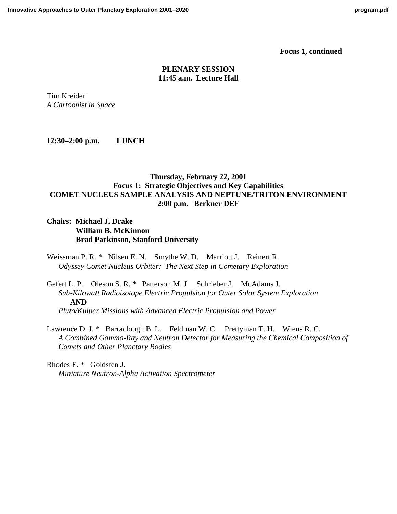## **PLENARY SESSION 11:45 a.m. Lecture Hall**

Tim Kreider *A Cartoonist in Space*

**12:30–2:00 p.m. LUNCH**

# **Thursday, February 22, 2001 Focus 1: Strategic Objectives and Key Capabilities COMET NUCLEUS SAMPLE ANALYSIS AND NEPTUNE/TRITON ENVIRONMENT 2:00 p.m. Berkner DEF**

## **Chairs: Michael J. Drake William B. McKinnon Brad Parkinson, Stanford University**

Weissman P. R. \* Nilsen E. N. Smythe W. D. Marriott J. Reinert R. *Odyssey Comet Nucleus Orbiter: The Next Step in Cometary Exploration*

## Gefert L. P. Oleson S. R. \* Patterson M. J. Schrieber J. McAdams J. *[Sub-Kilowatt Radioisotope Electric Propulsion for Outer Solar System Exploration](http://www.lpi.usra.edu/meetings/outerplanets2001/pdf/4105.pdf)* **AND** *[Pluto/Kuiper Missions with Advanced Electric Propulsion and Power](http://www.lpi.usra.edu/meetings/outerplanets2001/pdf/4103.pdf)*

Lawrence D. J. \* Barraclough B. L. Feldman W. C. Prettyman T. H. Wiens R. C. *[A Combined Gamma-Ray and Neutron Detector for Measuring the Chemical Composition of](http://www.lpi.usra.edu/meetings/outerplanets2001/pdf/4057.pdf) Comets and Other Planetary Bodies*

Rhodes E. \* Goldsten J. *[Miniature Neutron-Alpha Activation Spectrometer](http://www.lpi.usra.edu/meetings/outerplanets2001/pdf/4035.pdf)*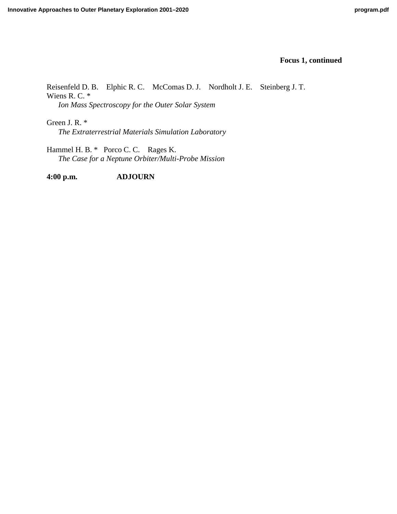[Reisenfeld D. B. Elphic R. C. McComas D. J. Nordholt J. E. Steinberg J. T.](http://www.lpi.usra.edu/meetings/outerplanets2001/pdf/4112.pdf)  Wiens R. C. \* *Ion Mass Spectroscopy for the Outer Solar System*

Green J. R. \* *[The Extraterrestrial Materials Simulation Laboratory](http://www.lpi.usra.edu/meetings/outerplanets2001/pdf/4082.pdf)*

Hammel H. B. \* Porco C. C. Rages K. *[The Case for a Neptune Orbiter/Multi-Probe Mission](http://www.lpi.usra.edu/meetings/outerplanets2001/pdf/4095.pdf)*

**4:00 p.m. ADJOURN**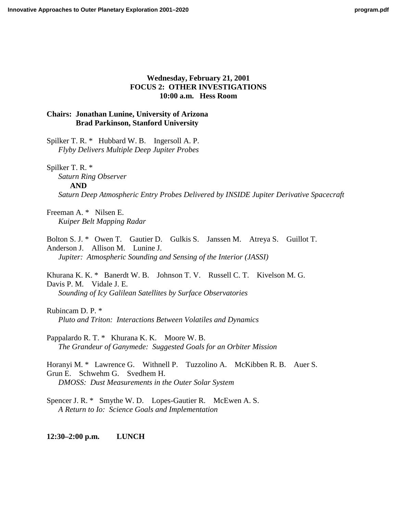## **Wednesday, February 21, 2001 FOCUS 2: OTHER INVESTIGATIONS 10:00 a.m. Hess Room**

## **Chairs: Jonathan Lunine, University of Arizona Brad Parkinson, Stanford University**

[Spilker T. R. \\* Hubbard W. B. Ingersoll A. P.](http://www.lpi.usra.edu/meetings/outerplanets2001/pdf/4020.pdf)  *Flyby Delivers Multiple Deep Jupiter Probes*

Spilker T. R. \*

*[Saturn Ring Observer](http://www.lpi.usra.edu/meetings/outerplanets2001/pdf/4021.pdf)* **AND** *[Saturn Deep Atmospheric Entry Probes Delivered by INSIDE Jupiter Derivative Spacecraft](http://www.lpi.usra.edu/meetings/outerplanets2001/pdf/4113.pdf)*

Freeman A. \* Nilsen E. *[Kuiper Belt Mapping Radar](http://www.lpi.usra.edu/meetings/outerplanets2001/pdf/4034.pdf)*

[Bolton S. J. \\* Owen T. Gautier D. Gulkis S. Janssen M. Atreya S. Guillot T.](http://www.lpi.usra.edu/meetings/outerplanets2001/pdf/4038.pdf)  Anderson J. Allison M. Lunine J. *Jupiter: Atmospheric Sounding and Sensing of the Interior (JASSI)*

[Khurana K. K. \\* Banerdt W. B. Johnson T. V. Russell C. T. Kivelson M. G.](http://www.lpi.usra.edu/meetings/outerplanets2001/pdf/4040.pdf)  Davis P. M. Vidale J. E. *Sounding of Icy Galilean Satellites by Surface Observatories*

Rubincam D. P. \* *[Pluto and Triton: Interactions Between Volatiles and Dynamics](http://www.lpi.usra.edu/meetings/outerplanets2001/pdf/4043.pdf)*

Pappalardo R. T. \* Khurana K. K. Moore W. B. *[The Grandeur of Ganymede: Suggested Goals for an Orbiter Mission](http://www.lpi.usra.edu/meetings/outerplanets2001/pdf/4065.pdf)*

[Horanyi M. \\* Lawrence G. Withnell P. Tuzzolino A. McKibben R. B. Auer S.](http://www.lpi.usra.edu/meetings/outerplanets2001/pdf/4074.pdf)  Grun E. Schwehm G. Svedhem H. *DMOSS: Dust Measurements in the Outer Solar System*

Spencer J. R. \* Smythe W. D. Lopes-Gautier R. McEwen A. S. *A Return to Io: Science Goals and Implementation*

**12:30–2:00 p.m. LUNCH**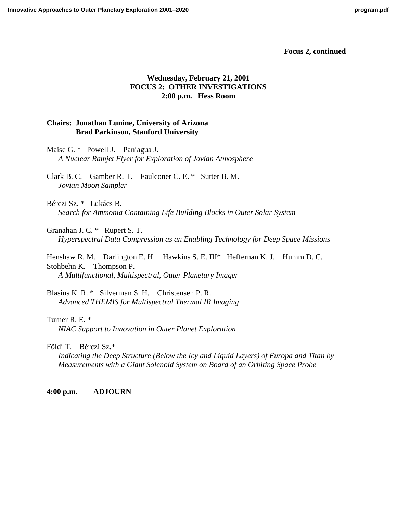## **Wednesday, February 21, 2001 FOCUS 2: OTHER INVESTIGATIONS 2:00 p.m. Hess Room**

### **Chairs: Jonathan Lunine, University of Arizona Brad Parkinson, Stanford University**

Maise G. \* Powell J. Paniagua J. *[A Nuclear Ramjet Flyer for Exploration of Jovian Atmosphere](http://www.lpi.usra.edu/meetings/outerplanets2001/pdf/4086.pdf)*

[Clark B. C. Gamber R. T. Faulconer C. E. \\* Sutter B. M.](http://www.lpi.usra.edu/meetings/outerplanets2001/pdf/4101.pdf)  *Jovian Moon Sampler*

Bérczi Sz. \* Lukács B. *[Search for Ammonia Containing Life Building Blocks in Outer Solar System](http://www.lpi.usra.edu/meetings/outerplanets2001/pdf/4006.pdf)*

Granahan J. C. \* Rupert S. T. *[Hyperspectral Data Compression as an Enabling Technology for Deep Space Missions](http://www.lpi.usra.edu/meetings/outerplanets2001/pdf/4024.pdf)*

Henshaw R. M. Darlington E. H. Hawkins S. E. III\* Heffernan K. J. Humm D. C. Stohbehn K. Thompson P. *A Multifunctional, Multispectral, Outer Planetary Imager*

Blasius K. R. \* Silverman S. H. Christensen P. R. *[Advanced THEMIS for Multispectral Thermal IR Imaging](http://www.lpi.usra.edu/meetings/outerplanets2001/pdf/4111.pdf)*

Turner R. E. \* *[NIAC Support to Innovation in Outer Planet Exploration](http://www.lpi.usra.edu/meetings/outerplanets2001/pdf/4010.pdf)*

Földi T. Bérczi Sz.\*

*[Indicating the Deep Structure \(Below the Icy and Liquid Layers\) of Europa and Titan by](http://www.lpi.usra.edu/meetings/outerplanets2001/pdf/4025.pdf) Measurements with a Giant Solenoid System on Board of an Orbiting Space Probe*

**4:00 p.m. ADJOURN**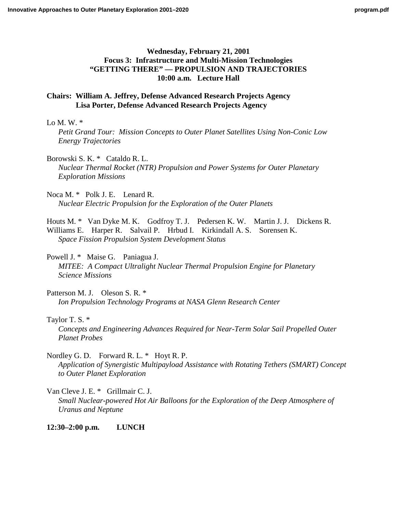## **Wednesday, February 21, 2001 Focus 3: Infrastructure and Multi-Mission Technologies "GETTING THERE" — PROPULSION AND TRAJECTORIES 10:00 a.m. Lecture Hall**

## **Chairs: William A. Jeffrey, Defense Advanced Research Projects Agency Lisa Porter, Defense Advanced Research Projects Agency**

#### Lo M. W.  $*$

*[Petit Grand Tour: Mission Concepts to Outer Planet Satellites Using Non-Conic Low](http://www.lpi.usra.edu/meetings/outerplanets2001/pdf/4118.pdf) Energy Trajectories*

Borowski S. K. \* Cataldo R. L. *[Nuclear Thermal Rocket \(NTR\) Propulsion and Power Systems for Outer Planetary](http://www.lpi.usra.edu/meetings/outerplanets2001/pdf/4031.pdf) Exploration Missions*

Noca M. \* Polk J. E. Lenard R. *[Nuclear Electric Propulsion for the Exploration of the Outer Planets](http://www.lpi.usra.edu/meetings/outerplanets2001/pdf/4060.pdf)*

[Houts M. \\* Van Dyke M. K. Godfroy T. J. Pedersen K. W. Martin J. J. Dickens R.](http://www.lpi.usra.edu/meetings/outerplanets2001/pdf/4073.pdf)  Williams E. Harper R. Salvail P. Hrbud I. Kirkindall A. S. Sorensen K. *Space Fission Propulsion System Development Status*

Powell J. \* Maise G. Paniagua J. *[MITEE: A Compact Ultralight Nuclear Thermal Propulsion Engine for Planetary](http://www.lpi.usra.edu/meetings/outerplanets2001/pdf/4084.pdf) Science Missions*

Patterson M. J. Oleson S. R. \* *[Ion Propulsion Technology Programs at NASA Glenn Research Center](http://www.lpi.usra.edu/meetings/outerplanets2001/pdf/4104.pdf)*

#### Taylor T. S. \*

*[Concepts and Engineering Advances Required for Near-Term Solar Sail Propelled Outer](http://www.lpi.usra.edu/meetings/outerplanets2001/pdf/4070.pdf) Planet Probes*

Nordley G. D. Forward R. L. \* Hoyt R. P.

*[Application of Synergistic Multipayload Assistance with Rotating Tethers \(SMART\) Concept](http://www.lpi.usra.edu/meetings/outerplanets2001/pdf/4090.pdf) to Outer Planet Exploration*

Van Cleve J. E. \* Grillmair C. J. *[Small Nuclear-powered Hot Air Balloons for the Exploration of the Deep Atmosphere of](http://www.lpi.usra.edu/meetings/outerplanets2001/pdf/4107.pdf) Uranus and Neptune*

## **12:30–2:00 p.m. LUNCH**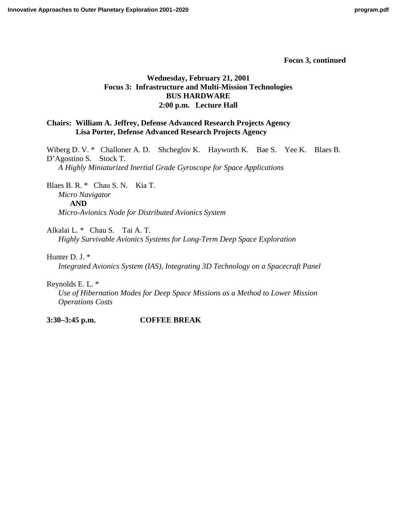# **Wednesday, February 21, 2001 Focus 3: Infrastructure and Multi-Mission Technologies BUS HARDWARE 2:00 p.m. Lecture Hall**

# **Chairs: William A. Jeffrey, Defense Advanced Research Projects Agency Lisa Porter, Defense Advanced Research Projects Agency**

Wiberg D. V. \* Challoner A. D. Shcheglov K. Hayworth K. Bae S. Yee K. Blaes B. D'Agostino S. Stock T. *A Highly Miniaturized Inertial Grade Gyroscope for Space Applications*

Blaes B. R. \* Chau S. N. Kia T. *[Micro Navigator](http://www.lpi.usra.edu/meetings/outerplanets2001/pdf/4041.pdf)* **AND** *[Micro-Avionics Node for Distributed Avionics System](http://www.lpi.usra.edu/meetings/outerplanets2001/pdf/4039.pdf)*

Alkalai L. \* Chau S. Tai A. T. *[Highly Survivable Avionics Systems for Long-Term Deep Space Exploration](http://www.lpi.usra.edu/meetings/outerplanets2001/pdf/4079.pdf)*

Hunter D. J. \*

*[Integrated Avionics System \(IAS\), Integrating 3D Technology on a Spacecraft Panel](http://www.lpi.usra.edu/meetings/outerplanets2001/pdf/4054.pdf)*

Reynolds E. L. \*

*[Use of Hibernation Modes for Deep Space Missions as a Method to Lower Mission](http://www.lpi.usra.edu/meetings/outerplanets2001/pdf/4092.pdf) Operations Costs*

**3:30–3:45 p.m. COFFEE BREAK**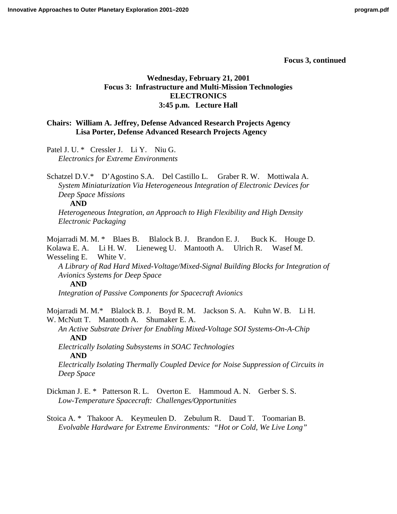# **Wednesday, February 21, 2001 Focus 3: Infrastructure and Multi-Mission Technologies ELECTRONICS 3:45 p.m. Lecture Hall**

# **Chairs: William A. Jeffrey, Defense Advanced Research Projects Agency Lisa Porter, Defense Advanced Research Projects Agency**

[Patel J. U. \\* Cressler J. Li Y. Niu G.](http://www.lpi.usra.edu/meetings/outerplanets2001/pdf/4046.pdf)  *Electronics for Extreme Environments*

Schatzel D.V.\* D'Agostino S.A. Del Castillo L. Graber R. W. Mottiwala A. *[System Miniaturization Via Heterogeneous Integration of Electronic Devices for](http://www.lpi.usra.edu/meetings/outerplanets2001/pdf/4058.pdf) Deep Space Missions*

**AND**

*[Heterogeneous Integration, an Approach to High Flexibility and High Density](http://www.lpi.usra.edu/meetings/outerplanets2001/pdf/4049.pdf) Electronic Packaging*

Mojarradi M. M. \* Blaes B. Blalock B. J. Brandon E. J. Buck K. Houge D. Kolawa E. A. Li H. W. Lieneweg U. Mantooth A. Ulrich R. Wasef M. Wesseling E. White V.

*[A Library of Rad Hard Mixed-Voltage/Mixed-Signal Building Blocks for Integration of](http://www.lpi.usra.edu/meetings/outerplanets2001/pdf/4047.pdf) Avionics Systems for Deep Space*

**AND**

*[Integration of Passive Components for Spacecraft Avionics](http://www.lpi.usra.edu/meetings/outerplanets2001/pdf/4053.pdf)*

Mojarradi M. M.\* Blalock B. J. Boyd R. M. Jackson S. A. Kuhn W. B. Li H. W. McNutt T. Mantooth A. Shumaker E. A.

*[An Active Substrate Driver for Enabling Mixed-Voltage SOI Systems-On-A-Chip](http://www.lpi.usra.edu/meetings/outerplanets2001/pdf/4044.pdf)* **AND** *[Electrically Isolating Subsystems in SOAC Technologies](http://www.lpi.usra.edu/meetings/outerplanets2001/pdf/4050.pdf)*

**AND**

*[Electrically Isolating Thermally Coupled Device for Noise Suppression of Circuits in](http://www.lpi.usra.edu/meetings/outerplanets2001/pdf/4051.pdf) Deep Space*

- [Dickman J. E. \\* Patterson R. L. Overton E. Hammoud A. N. Gerber S. S.](http://www.lpi.usra.edu/meetings/outerplanets2001/pdf/4027.pdf)  *Low-Temperature Spacecraft: Challenges/Opportunities*
- [Stoica A. \\* Thakoor A. Keymeulen D. Zebulum R. Daud T. Toomarian B.](http://www.lpi.usra.edu/meetings/outerplanets2001/pdf/4059.pdf)  *Evolvable Hardware for Extreme Environments: "Hot or Cold, We Live Long"*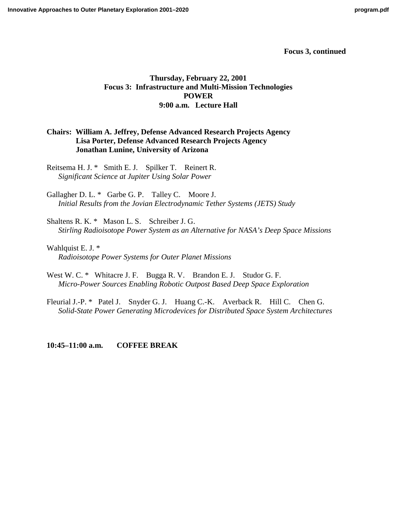# **Thursday, February 22, 2001 Focus 3: Infrastructure and Multi-Mission Technologies POWER 9:00 a.m. Lecture Hall**

# **Chairs: William A. Jeffrey, Defense Advanced Research Projects Agency Lisa Porter, Defense Advanced Research Projects Agency Jonathan Lunine, University of Arizona**

[Reitsema H. J. \\* Smith E. J. Spilker T. Reinert R.](http://www.lpi.usra.edu/meetings/outerplanets2001/pdf/4115.pdf)  *Significant Science at Jupiter Using Solar Power*

Gallagher D. L. \* Garbe G. P. Talley C. Moore J. *[Initial Results from the Jovian Electrodynamic Tether Systems \(JETS\) Study](http://www.lpi.usra.edu/meetings/outerplanets2001/pdf/4067.pdf)*

Shaltens R. K. \* Mason L. S. Schreiber J. G. *[Stirling Radioisotope Power System as an Alternative for NASA's Deep Space Missions](http://www.lpi.usra.edu/meetings/outerplanets2001/pdf/4069.pdf)*

Wahlquist E. J. \* *[Radioisotope Power Systems for Outer Planet Missions](http://www.lpi.usra.edu/meetings/outerplanets2001/pdf/4102.pdf)*

- West W. C. \* Whitacre J. F. Bugga R. V. Brandon E. J. Studor G. F. *[Micro-Power Sources Enabling Robotic Outpost Based Deep Space Exploration](http://www.lpi.usra.edu/meetings/outerplanets2001/pdf/4036.pdf)*
- [Fleurial J.-P. \\* Patel J. Snyder G. J. Huang C.-K. Averback R. Hill C. Chen G.](http://www.lpi.usra.edu/meetings/outerplanets2001/pdf/4120.pdf)  *Solid-State Power Generating Microdevices for Distributed Space System Architectures*

**10:45–11:00 a.m. COFFEE BREAK**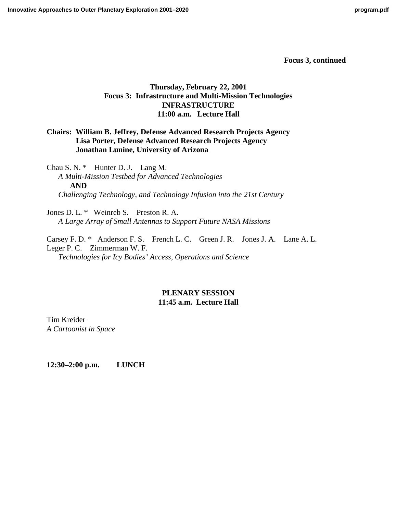# **Thursday, February 22, 2001 Focus 3: Infrastructure and Multi-Mission Technologies INFRASTRUCTURE 11:00 a.m. Lecture Hall**

# **Chairs: William B. Jeffrey, Defense Advanced Research Projects Agency Lisa Porter, Defense Advanced Research Projects Agency Jonathan Lunine, University of Arizona**

Chau S. N. \* Hunter D. J. Lang M. *[A Multi-Mission Testbed for Advanced Technologies](http://www.lpi.usra.edu/meetings/outerplanets2001/pdf/4030.pdf)* **AND** *[Challenging Technology, and Technology Infusion into the 21st Century](http://www.lpi.usra.edu/meetings/outerplanets2001/pdf/4055.pdf)*

Jones D. L. \* Weinreb S. Preston R. A. *[A Large Array of Small Antennas to Support Future NASA Missions](http://www.lpi.usra.edu/meetings/outerplanets2001/pdf/4098.pdf)*

[Carsey F. D. \\* Anderson F. S. French L. C. Green J. R. Jones J. A. Lane A. L.](http://www.lpi.usra.edu/meetings/outerplanets2001/pdf/4007.pdf)  Leger P. C. Zimmerman W. F. *Technologies for Icy Bodies' Access, Operations and Science*

# **PLENARY SESSION 11:45 a.m. Lecture Hall**

Tim Kreider *A Cartoonist in Space*

**12:30–2:00 p.m. LUNCH**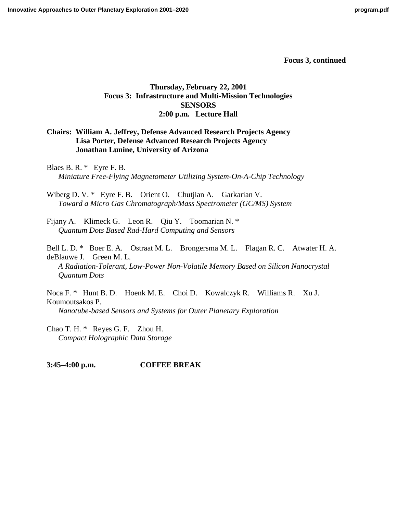# **Thursday, February 22, 2001 Focus 3: Infrastructure and Multi-Mission Technologies SENSORS 2:00 p.m. Lecture Hall**

# **Chairs: William A. Jeffrey, Defense Advanced Research Projects Agency Lisa Porter, Defense Advanced Research Projects Agency Jonathan Lunine, University of Arizona**

Blaes B. R. \* Eyre F. B. *[Miniature Free-Flying Magnetometer Utilizing System-On-A-Chip Technology](http://www.lpi.usra.edu/meetings/outerplanets2001/pdf/4037.pdf)*

Wiberg D. V. \* Eyre F. B. Orient O. Chutjian A. Garkarian V. *[Toward a Micro Gas Chromatograph/Mass Spectrometer \(GC/MS\) System](http://www.lpi.usra.edu/meetings/outerplanets2001/pdf/4068.pdf)*

[Fijany A. Klimeck G. Leon R. Qiu Y. Toomarian N. \\*](http://www.lpi.usra.edu/meetings/outerplanets2001/pdf/4026.pdf) *Quantum Dots Based Rad-Hard Computing and Sensors*

[Bell L. D. \\* Boer E. A. Ostraat M. L. Brongersma M. L. Flagan R. C. Atwater H. A.](http://www.lpi.usra.edu/meetings/outerplanets2001/pdf/4080.pdf)  deBlauwe J. Green M. L. *A Radiation-Tolerant, Low-Power Non-Volatile Memory Based on Silicon Nanocrystal Quantum Dots*

[Noca F. \\* Hunt B. D. Hoenk M. E. Choi D. Kowalczyk R. Williams R. Xu J.](http://www.lpi.usra.edu/meetings/outerplanets2001/pdf/4083.pdf)  Koumoutsakos P. *Nanotube-based Sensors and Systems for Outer Planetary Exploration*

[Chao T. H. \\* Reyes G. F. Zhou H.](http://www.lpi.usra.edu/meetings/outerplanets2001/pdf/4015.pdf)  *Compact Holographic Data Storage*

**3:45–4:00 p.m. COFFEE BREAK**